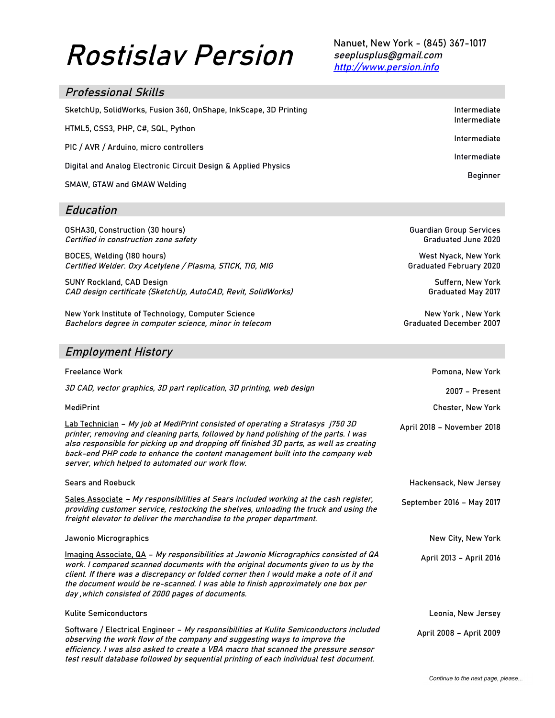# Rostislav Persion

Nanuet, New York - (845) 367-1017 seeplusplus@gmail.com http://www.persion.info

> Guardian Group Services Graduated June 2020

West Nyack, New York Graduated February 2020

> Suffern, New York Graduated May 2017

New York , New York Graduated December 2007

| <b>Professional Skills</b>                                       |                                              |
|------------------------------------------------------------------|----------------------------------------------|
| SketchUp, SolidWorks, Fusion 360, OnShape, InkScape, 3D Printing | Intermediate<br>Intermediate<br>Intermediate |
| HTML5, CSS3, PHP, C#, SQL, Python                                |                                              |
| PIC / AVR / Arduino, micro controllers                           | Intermediate                                 |
| Digital and Analog Electronic Circuit Design & Applied Physics   | <b>Beginner</b>                              |
| SMAW, GTAW and GMAW Welding                                      |                                              |

#### Education

OSHA30, Construction (30 hours) Certified in construction zone safety

BOCES, Welding (180 hours) Certified Welder. Oxy Acetylene / Plasma, STICK, TIG, MIG

SUNY Rockland, CAD Design CAD design certificate (SketchUp, AutoCAD, Revit, SolidWorks)

New York Institute of Technology, Computer Science Bachelors degree in computer science, minor in telecom

### Employment History

| <b>Freelance Work</b>                                                                                                                                                                                                                                                                                                                                                                                       | Pomona, New York           |
|-------------------------------------------------------------------------------------------------------------------------------------------------------------------------------------------------------------------------------------------------------------------------------------------------------------------------------------------------------------------------------------------------------------|----------------------------|
| 3D CAD, vector graphics, 3D part replication, 3D printing, web design                                                                                                                                                                                                                                                                                                                                       | 2007 - Present             |
| <b>MediPrint</b>                                                                                                                                                                                                                                                                                                                                                                                            | <b>Chester, New York</b>   |
| Lab Technician - My job at MediPrint consisted of operating a Stratasys j750 3D<br>printer, removing and cleaning parts, followed by hand polishing of the parts. I was<br>also responsible for picking up and dropping off finished 3D parts, as well as creating<br>back-end PHP code to enhance the content management built into the company web<br>server, which helped to automated our work flow.    | April 2018 - November 2018 |
| <b>Sears and Roebuck</b>                                                                                                                                                                                                                                                                                                                                                                                    | Hackensack, New Jersey     |
| Sales Associate - My responsibilities at Sears included working at the cash register,<br>providing customer service, restocking the shelves, unloading the truck and using the<br>freight elevator to deliver the merchandise to the proper department.                                                                                                                                                     | September 2016 - May 2017  |
| Jawonio Micrographics                                                                                                                                                                                                                                                                                                                                                                                       | New City, New York         |
| Imaging Associate, QA - My responsibilities at Jawonio Micrographics consisted of QA<br>work. I compared scanned documents with the original documents given to us by the<br>client. If there was a discrepancy or folded corner then I would make a note of it and<br>the document would be re-scanned. I was able to finish approximately one box per<br>day, which consisted of 2000 pages of documents. | April 2013 - April 2016    |
| <b>Kulite Semiconductors</b>                                                                                                                                                                                                                                                                                                                                                                                | Leonia, New Jersey         |
| Software / Electrical Engineer - My responsibilities at Kulite Semiconductors included<br>observing the work flow of the company and suggesting ways to improve the<br>efficiency. I was also asked to create a VBA macro that scanned the pressure sensor<br>test result database followed by sequential printing of each individual test document.                                                        | April 2008 - April 2009    |